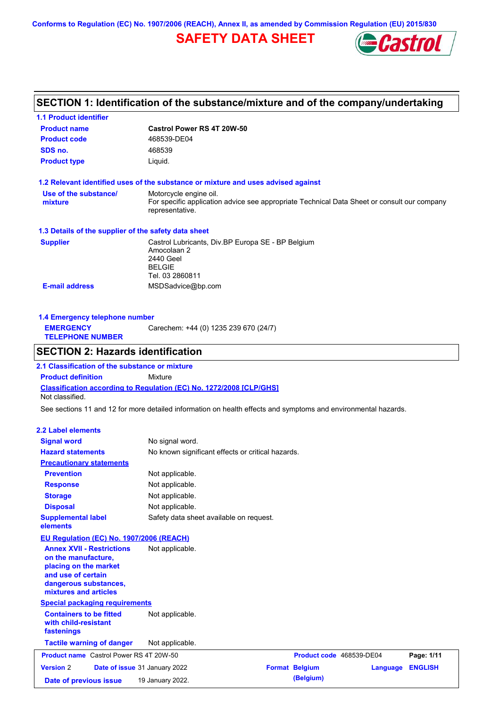**Conforms to Regulation (EC) No. 1907/2006 (REACH), Annex II, as amended by Commission Regulation (EU) 2015/830**

# **SAFETY DATA SHEET**



# **SECTION 1: Identification of the substance/mixture and of the company/undertaking**

| <b>1.1 Product identifier</b>                                                                                                                            |                                                                                                                   |                          |          |                |
|----------------------------------------------------------------------------------------------------------------------------------------------------------|-------------------------------------------------------------------------------------------------------------------|--------------------------|----------|----------------|
| <b>Product name</b>                                                                                                                                      | <b>Castrol Power RS 4T 20W-50</b>                                                                                 |                          |          |                |
| <b>Product code</b>                                                                                                                                      | 468539-DE04                                                                                                       |                          |          |                |
| SDS no.                                                                                                                                                  | 468539                                                                                                            |                          |          |                |
| <b>Product type</b>                                                                                                                                      | Liquid.                                                                                                           |                          |          |                |
| 1.2 Relevant identified uses of the substance or mixture and uses advised against                                                                        |                                                                                                                   |                          |          |                |
| Use of the substance/                                                                                                                                    | Motorcycle engine oil.                                                                                            |                          |          |                |
| mixture                                                                                                                                                  | For specific application advice see appropriate Technical Data Sheet or consult our company<br>representative.    |                          |          |                |
| 1.3 Details of the supplier of the safety data sheet                                                                                                     |                                                                                                                   |                          |          |                |
| <b>Supplier</b>                                                                                                                                          | Castrol Lubricants, Div.BP Europa SE - BP Belgium<br>Amocolaan 2<br>2440 Geel<br><b>BELGIE</b><br>Tel. 03 2860811 |                          |          |                |
| <b>E-mail address</b>                                                                                                                                    | MSDSadvice@bp.com                                                                                                 |                          |          |                |
| 1.4 Emergency telephone number                                                                                                                           |                                                                                                                   |                          |          |                |
| <b>EMERGENCY</b>                                                                                                                                         | Carechem: +44 (0) 1235 239 670 (24/7)                                                                             |                          |          |                |
| <b>TELEPHONE NUMBER</b>                                                                                                                                  |                                                                                                                   |                          |          |                |
| <b>SECTION 2: Hazards identification</b>                                                                                                                 |                                                                                                                   |                          |          |                |
| 2.1 Classification of the substance or mixture                                                                                                           |                                                                                                                   |                          |          |                |
| <b>Product definition</b>                                                                                                                                | Mixture                                                                                                           |                          |          |                |
| Classification according to Regulation (EC) No. 1272/2008 [CLP/GHS]<br>Not classified.                                                                   |                                                                                                                   |                          |          |                |
| See sections 11 and 12 for more detailed information on health effects and symptoms and environmental hazards.                                           |                                                                                                                   |                          |          |                |
| <b>2.2 Label elements</b>                                                                                                                                |                                                                                                                   |                          |          |                |
| <b>Signal word</b>                                                                                                                                       | No signal word.                                                                                                   |                          |          |                |
| <b>Hazard statements</b>                                                                                                                                 | No known significant effects or critical hazards.                                                                 |                          |          |                |
| <b>Precautionary statements</b>                                                                                                                          |                                                                                                                   |                          |          |                |
| <b>Prevention</b>                                                                                                                                        | Not applicable.                                                                                                   |                          |          |                |
| <b>Response</b>                                                                                                                                          | Not applicable.                                                                                                   |                          |          |                |
| <b>Storage</b>                                                                                                                                           | Not applicable.                                                                                                   |                          |          |                |
| <b>Disposal</b>                                                                                                                                          | Not applicable.                                                                                                   |                          |          |                |
| <b>Supplemental label</b><br>elements                                                                                                                    | Safety data sheet available on request.                                                                           |                          |          |                |
| EU Regulation (EC) No. 1907/2006 (REACH)                                                                                                                 |                                                                                                                   |                          |          |                |
| <b>Annex XVII - Restrictions</b><br>on the manufacture,<br>placing on the market<br>and use of certain<br>dangerous substances,<br>mixtures and articles | Not applicable.                                                                                                   |                          |          |                |
| <b>Special packaging requirements</b>                                                                                                                    |                                                                                                                   |                          |          |                |
| <b>Containers to be fitted</b><br>with child-resistant<br>fastenings                                                                                     | Not applicable.                                                                                                   |                          |          |                |
| <b>Tactile warning of danger</b>                                                                                                                         | Not applicable.                                                                                                   |                          |          |                |
| <b>Product name</b> Castrol Power RS 4T 20W-50                                                                                                           |                                                                                                                   | Product code 468539-DE04 |          | Page: 1/11     |
| <b>Version 2</b>                                                                                                                                         | Date of issue 31 January 2022                                                                                     | <b>Format Belgium</b>    | Language | <b>ENGLISH</b> |
| Date of previous issue                                                                                                                                   | 19 January 2022.                                                                                                  | (Belgium)                |          |                |
|                                                                                                                                                          |                                                                                                                   |                          |          |                |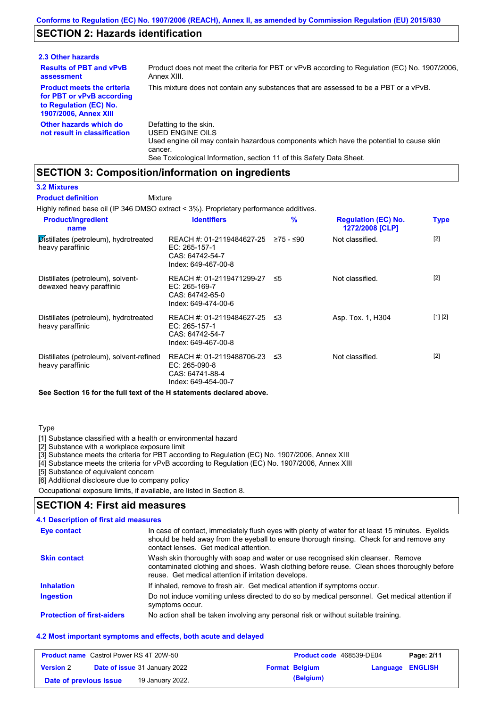# **SECTION 2: Hazards identification**

| 2.3 Other hazards                                                                                                        |                                                                                                                                                                                                                          |
|--------------------------------------------------------------------------------------------------------------------------|--------------------------------------------------------------------------------------------------------------------------------------------------------------------------------------------------------------------------|
| <b>Results of PBT and vPvB</b><br>assessment                                                                             | Product does not meet the criteria for PBT or vPvB according to Regulation (EC) No. 1907/2006,<br>Annex XIII.                                                                                                            |
| <b>Product meets the criteria</b><br>for PBT or vPvB according<br>to Regulation (EC) No.<br><b>1907/2006, Annex XIII</b> | This mixture does not contain any substances that are assessed to be a PBT or a vPvB.                                                                                                                                    |
| Other hazards which do<br>not result in classification                                                                   | Defatting to the skin.<br>USED ENGINE OILS<br>Used engine oil may contain hazardous components which have the potential to cause skin<br>cancer.<br>See Toxicological Information, section 11 of this Safety Data Sheet. |

### **SECTION 3: Composition/information on ingredients**

Mixture

### **3.2 Mixtures**

**Product definition**

Highly refined base oil (IP 346 DMSO extract < 3%). Proprietary performance additives.

| <b>Product/ingredient</b><br>name                             | <b>Identifiers</b>                                                                   | $\frac{9}{6}$ | <b>Regulation (EC) No.</b><br>1272/2008 [CLP] | <b>Type</b> |
|---------------------------------------------------------------|--------------------------------------------------------------------------------------|---------------|-----------------------------------------------|-------------|
| Distillates (petroleum), hydrotreated<br>heavy paraffinic     | REACH #: 01-2119484627-25<br>EC: 265-157-1<br>CAS: 64742-54-7<br>Index: 649-467-00-8 | ≥75 - ≤90     | Not classified.                               | $[2]$       |
| Distillates (petroleum), solvent-<br>dewaxed heavy paraffinic | REACH #: 01-2119471299-27<br>EC: 265-169-7<br>CAS: 64742-65-0<br>Index: 649-474-00-6 | ≤5            | Not classified.                               | $[2]$       |
| Distillates (petroleum), hydrotreated<br>heavy paraffinic     | REACH #: 01-2119484627-25<br>EC: 265-157-1<br>CAS: 64742-54-7<br>Index: 649-467-00-8 | -≤3           | Asp. Tox. 1, H304                             | [1] [2]     |
| Distillates (petroleum), solvent-refined<br>heavy paraffinic  | REACH #: 01-2119488706-23<br>EC: 265-090-8<br>CAS: 64741-88-4<br>Index: 649-454-00-7 | - ≤3          | Not classified.                               | $[2]$       |

**See Section 16 for the full text of the H statements declared above.**

### Type

[1] Substance classified with a health or environmental hazard

[2] Substance with a workplace exposure limit

[3] Substance meets the criteria for PBT according to Regulation (EC) No. 1907/2006, Annex XIII

[4] Substance meets the criteria for vPvB according to Regulation (EC) No. 1907/2006, Annex XIII

[5] Substance of equivalent concern

[6] Additional disclosure due to company policy

Occupational exposure limits, if available, are listed in Section 8.

### **SECTION 4: First aid measures**

### **4.1 Description of first aid measures**

| Eye contact                       | In case of contact, immediately flush eyes with plenty of water for at least 15 minutes. Eyelids<br>should be held away from the eyeball to ensure thorough rinsing. Check for and remove any<br>contact lenses. Get medical attention. |
|-----------------------------------|-----------------------------------------------------------------------------------------------------------------------------------------------------------------------------------------------------------------------------------------|
| <b>Skin contact</b>               | Wash skin thoroughly with soap and water or use recognised skin cleanser. Remove<br>contaminated clothing and shoes. Wash clothing before reuse. Clean shoes thoroughly before<br>reuse. Get medical attention if irritation develops.  |
| <b>Inhalation</b>                 | If inhaled, remove to fresh air. Get medical attention if symptoms occur.                                                                                                                                                               |
| <b>Ingestion</b>                  | Do not induce vomiting unless directed to do so by medical personnel. Get medical attention if<br>symptoms occur.                                                                                                                       |
| <b>Protection of first-aiders</b> | No action shall be taken involving any personal risk or without suitable training.                                                                                                                                                      |

### **4.2 Most important symptoms and effects, both acute and delayed**

| <b>Product name</b> Castrol Power RS 4T 20W-50 |                                      |                       | Product code 468539-DE04 | Page: 2/11 |
|------------------------------------------------|--------------------------------------|-----------------------|--------------------------|------------|
| <b>Version 2</b>                               | <b>Date of issue 31 January 2022</b> | <b>Format Belgium</b> | <b>Language ENGLISH</b>  |            |
| Date of previous issue                         | 19 January 2022.                     | (Belgium)             |                          |            |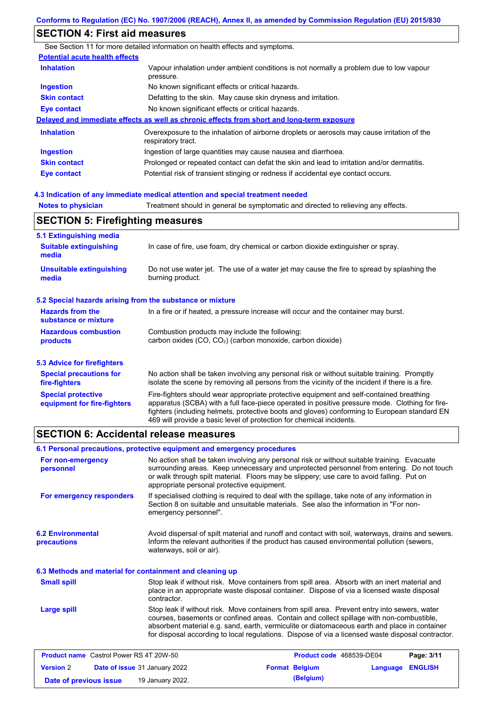| <b>SECTION 4: First aid measures</b>            |                                                                                                                                                                                                |
|-------------------------------------------------|------------------------------------------------------------------------------------------------------------------------------------------------------------------------------------------------|
|                                                 | See Section 11 for more detailed information on health effects and symptoms.                                                                                                                   |
| <b>Potential acute health effects</b>           |                                                                                                                                                                                                |
| <b>Inhalation</b>                               | Vapour inhalation under ambient conditions is not normally a problem due to low vapour<br>pressure.                                                                                            |
| <b>Ingestion</b>                                | No known significant effects or critical hazards.                                                                                                                                              |
| <b>Skin contact</b>                             | Defatting to the skin. May cause skin dryness and irritation.                                                                                                                                  |
| <b>Eye contact</b>                              | No known significant effects or critical hazards.                                                                                                                                              |
|                                                 | Delayed and immediate effects as well as chronic effects from short and long-term exposure                                                                                                     |
| <b>Inhalation</b>                               | Overexposure to the inhalation of airborne droplets or aerosols may cause irritation of the<br>respiratory tract.                                                                              |
| <b>Ingestion</b>                                | Ingestion of large quantities may cause nausea and diarrhoea.                                                                                                                                  |
| <b>Skin contact</b>                             | Prolonged or repeated contact can defat the skin and lead to irritation and/or dermatitis.                                                                                                     |
| <b>Eye contact</b>                              | Potential risk of transient stinging or redness if accidental eye contact occurs.                                                                                                              |
|                                                 | 4.3 Indication of any immediate medical attention and special treatment needed                                                                                                                 |
| <b>Notes to physician</b>                       | Treatment should in general be symptomatic and directed to relieving any effects.                                                                                                              |
| <b>SECTION 5: Firefighting measures</b>         |                                                                                                                                                                                                |
| 5.1 Extinguishing media                         |                                                                                                                                                                                                |
| <b>Suitable extinguishing</b><br>media          | In case of fire, use foam, dry chemical or carbon dioxide extinguisher or spray.                                                                                                               |
| <b>Unsuitable extinguishing</b><br>media        | Do not use water jet. The use of a water jet may cause the fire to spread by splashing the<br>burning product.                                                                                 |
|                                                 | 5.2 Special hazards arising from the substance or mixture                                                                                                                                      |
| <b>Hazards from the</b><br>substance or mixture | In a fire or if heated, a pressure increase will occur and the container may burst.                                                                                                            |
| <b>Hazardous combustion</b><br>products         | Combustion products may include the following:<br>carbon oxides (CO, CO <sub>2</sub> ) (carbon monoxide, carbon dioxide)                                                                       |
| <b>5.3 Advice for firefighters</b>              |                                                                                                                                                                                                |
| <b>Special precautions for</b><br>fire-fighters | No action shall be taken involving any personal risk or without suitable training. Promptly<br>isolate the scene by removing all persons from the vicinity of the incident if there is a fire. |
| <b>Special protective</b>                       | Fire-fighters should wear appropriate protective equipment and self-contained breathing                                                                                                        |

#### apparatus (SCBA) with a full face-piece operated in positive pressure mode. Clothing for firefighters (including helmets, protective boots and gloves) conforming to European standard EN 469 will provide a basic level of protection for chemical incidents. **equipment for fire-fighters**

### **SECTION 6: Accidental release measures**

**Version** 2

**6.2 Environmental precautions** Stop leak if without risk. Move containers from spill area. Prevent entry into sewers, water courses, basements or confined areas. Contain and collect spillage with non-combustible, absorbent material e.g. sand, earth, vermiculite or diatomaceous earth and place in container for disposal according to local regulations. Dispose of via a licensed waste disposal contractor. Avoid dispersal of spilt material and runoff and contact with soil, waterways, drains and sewers. Inform the relevant authorities if the product has caused environmental pollution (sewers, waterways, soil or air). **Large spill** Stop leak if without risk. Move containers from spill area. Absorb with an inert material and place in an appropriate waste disposal container. Dispose of via a licensed waste disposal contractor. **Small spill 6.3 Methods and material for containment and cleaning up 6.1 Personal precautions, protective equipment and emergency procedures For non-emergency personnel For emergency responders** No action shall be taken involving any personal risk or without suitable training. Evacuate surrounding areas. Keep unnecessary and unprotected personnel from entering. Do not touch or walk through spilt material. Floors may be slippery; use care to avoid falling. Put on appropriate personal protective equipment. If specialised clothing is required to deal with the spillage, take note of any information in Section 8 on suitable and unsuitable materials. See also the information in "For nonemergency personnel". **Product name** Castrol Power RS 4T 20W-50 **Product code** 468539-DE04 **Page: 3/11** 

**Date of issue** 31 January 2022 **Format Belgium Language ENGLISH**

**Date of previous issue 19 January 2022. (Belgium) (Belgium)**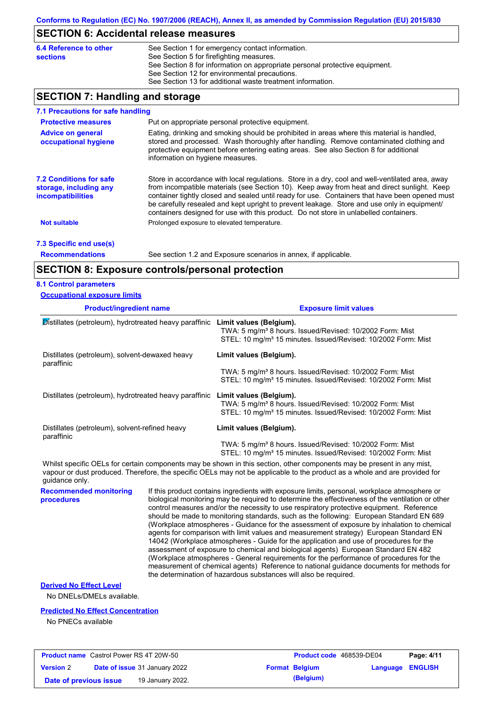### **SECTION 6: Accidental release measures**

| 6.4 Reference to other<br><b>sections</b> | See Section 1 for emergency contact information.<br>See Section 5 for firefighting measures.<br>See Section 8 for information on appropriate personal protective equipment.<br>See Section 12 for environmental precautions. |
|-------------------------------------------|------------------------------------------------------------------------------------------------------------------------------------------------------------------------------------------------------------------------------|
|                                           | See Section 13 for additional waste treatment information.                                                                                                                                                                   |
|                                           |                                                                                                                                                                                                                              |

# **SECTION 7: Handling and storage**

| 7.1 Precautions for safe handling                                                    |                                                                                                                                                                                                                                                                                                                                                                                                                                                                                          |
|--------------------------------------------------------------------------------------|------------------------------------------------------------------------------------------------------------------------------------------------------------------------------------------------------------------------------------------------------------------------------------------------------------------------------------------------------------------------------------------------------------------------------------------------------------------------------------------|
| <b>Protective measures</b>                                                           | Put on appropriate personal protective equipment.                                                                                                                                                                                                                                                                                                                                                                                                                                        |
| <b>Advice on general</b><br>occupational hygiene                                     | Eating, drinking and smoking should be prohibited in areas where this material is handled,<br>stored and processed. Wash thoroughly after handling. Remove contaminated clothing and<br>protective equipment before entering eating areas. See also Section 8 for additional<br>information on hygiene measures.                                                                                                                                                                         |
| <b>7.2 Conditions for safe</b><br>storage, including any<br><i>incompatibilities</i> | Store in accordance with local requiations. Store in a dry, cool and well-ventilated area, away<br>from incompatible materials (see Section 10). Keep away from heat and direct sunlight. Keep<br>container tightly closed and sealed until ready for use. Containers that have been opened must<br>be carefully resealed and kept upright to prevent leakage. Store and use only in equipment/<br>containers designed for use with this product. Do not store in unlabelled containers. |
| <b>Not suitable</b>                                                                  | Prolonged exposure to elevated temperature.                                                                                                                                                                                                                                                                                                                                                                                                                                              |
| 7.3 Specific end use(s)                                                              |                                                                                                                                                                                                                                                                                                                                                                                                                                                                                          |

**Recommendations**

See section 1.2 and Exposure scenarios in annex, if applicable.

### **SECTION 8: Exposure controls/personal protection**

### **8.1 Control parameters**

| <b>Occupational exposure limits</b> |
|-------------------------------------|
|-------------------------------------|

| <b>Product/ingredient name</b>                               | <b>Exposure limit values</b>                                                                                                                                                                                                                         |
|--------------------------------------------------------------|------------------------------------------------------------------------------------------------------------------------------------------------------------------------------------------------------------------------------------------------------|
| Distillates (petroleum), hydrotreated heavy paraffinic       | Limit values (Belgium).<br>TWA: 5 mg/m <sup>3</sup> 8 hours. Issued/Revised: 10/2002 Form: Mist<br>STEL: 10 mg/m <sup>3</sup> 15 minutes. Issued/Revised: 10/2002 Form: Mist                                                                         |
| Distillates (petroleum), solvent-dewaxed heavy<br>paraffinic | Limit values (Belgium).                                                                                                                                                                                                                              |
|                                                              | TWA: 5 mg/m <sup>3</sup> 8 hours. Issued/Revised: 10/2002 Form: Mist<br>STEL: 10 mg/m <sup>3</sup> 15 minutes. Issued/Revised: 10/2002 Form: Mist                                                                                                    |
| Distillates (petroleum), hydrotreated heavy paraffinic       | Limit values (Belgium).<br>TWA: 5 mg/m <sup>3</sup> 8 hours. Issued/Revised: 10/2002 Form: Mist<br>STEL: 10 mg/m <sup>3</sup> 15 minutes. Issued/Revised: 10/2002 Form: Mist                                                                         |
| Distillates (petroleum), solvent-refined heavy<br>paraffinic | Limit values (Belgium).                                                                                                                                                                                                                              |
|                                                              | TWA: 5 mg/m <sup>3</sup> 8 hours. Issued/Revised: 10/2002 Form: Mist<br>STEL: 10 mg/m <sup>3</sup> 15 minutes. Issued/Revised: 10/2002 Form: Mist                                                                                                    |
|                                                              | Whilst specific OELs for certain components may be shown in this section, other components may be present in any mist,<br>vapour or dust produced. Therefore, the specific OELs may not be applicable to the product as a whole and are provided for |

**Recommended monitoring**  guidance only.

If this product contains ingredients with exposure limits, personal, workplace atmosphere or biological monitoring may be required to determine the effectiveness of the ventilation or other control measures and/or the necessity to use respiratory protective equipment. Reference should be made to monitoring standards, such as the following: European Standard EN 689 (Workplace atmospheres - Guidance for the assessment of exposure by inhalation to chemical agents for comparison with limit values and measurement strategy) European Standard EN 14042 (Workplace atmospheres - Guide for the application and use of procedures for the assessment of exposure to chemical and biological agents) European Standard EN 482 (Workplace atmospheres - General requirements for the performance of procedures for the measurement of chemical agents) Reference to national guidance documents for methods for the determination of hazardous substances will also be required.

### **Derived No Effect Level**

**procedures**

No DNELs/DMELs available.

### **Predicted No Effect Concentration**

No PNECs available

| <b>Product name</b> Castrol Power RS 4T 20W-50 |                                      | <b>Product code</b> 468539-DE04 |                         | Page: 4/11 |
|------------------------------------------------|--------------------------------------|---------------------------------|-------------------------|------------|
| <b>Version 2</b>                               | <b>Date of issue 31 January 2022</b> | <b>Format Belgium</b>           | <b>Language ENGLISH</b> |            |
| Date of previous issue                         | 19 January 2022.                     | (Belgium)                       |                         |            |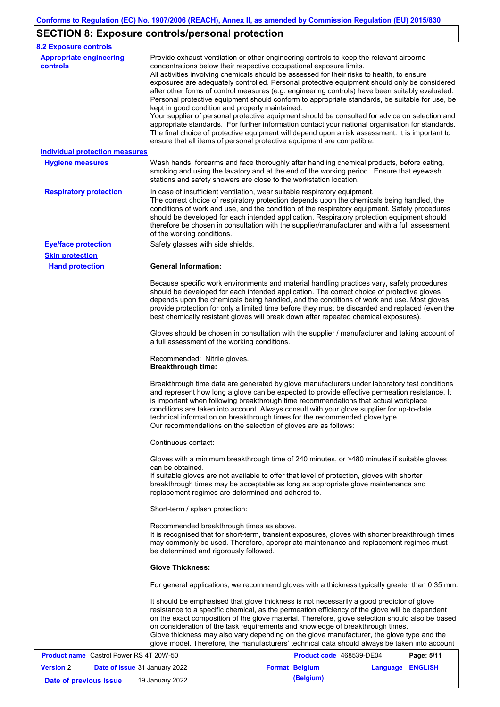# **SECTION 8: Exposure controls/personal protection**

| <b>8.2 Exposure controls</b>                         |                                                                                                                                                                                                                                                                                                                                                                                                                                                                                                                                                                                                                                                                                                                                                                                                                                                                                                                                                                                                         |
|------------------------------------------------------|---------------------------------------------------------------------------------------------------------------------------------------------------------------------------------------------------------------------------------------------------------------------------------------------------------------------------------------------------------------------------------------------------------------------------------------------------------------------------------------------------------------------------------------------------------------------------------------------------------------------------------------------------------------------------------------------------------------------------------------------------------------------------------------------------------------------------------------------------------------------------------------------------------------------------------------------------------------------------------------------------------|
| <b>Appropriate engineering</b><br><b>controls</b>    | Provide exhaust ventilation or other engineering controls to keep the relevant airborne<br>concentrations below their respective occupational exposure limits.<br>All activities involving chemicals should be assessed for their risks to health, to ensure<br>exposures are adequately controlled. Personal protective equipment should only be considered<br>after other forms of control measures (e.g. engineering controls) have been suitably evaluated.<br>Personal protective equipment should conform to appropriate standards, be suitable for use, be<br>kept in good condition and properly maintained.<br>Your supplier of personal protective equipment should be consulted for advice on selection and<br>appropriate standards. For further information contact your national organisation for standards.<br>The final choice of protective equipment will depend upon a risk assessment. It is important to<br>ensure that all items of personal protective equipment are compatible. |
| <b>Individual protection measures</b>                |                                                                                                                                                                                                                                                                                                                                                                                                                                                                                                                                                                                                                                                                                                                                                                                                                                                                                                                                                                                                         |
| <b>Hygiene measures</b>                              | Wash hands, forearms and face thoroughly after handling chemical products, before eating,<br>smoking and using the lavatory and at the end of the working period. Ensure that eyewash<br>stations and safety showers are close to the workstation location.                                                                                                                                                                                                                                                                                                                                                                                                                                                                                                                                                                                                                                                                                                                                             |
| <b>Respiratory protection</b>                        | In case of insufficient ventilation, wear suitable respiratory equipment.<br>The correct choice of respiratory protection depends upon the chemicals being handled, the<br>conditions of work and use, and the condition of the respiratory equipment. Safety procedures<br>should be developed for each intended application. Respiratory protection equipment should<br>therefore be chosen in consultation with the supplier/manufacturer and with a full assessment<br>of the working conditions.                                                                                                                                                                                                                                                                                                                                                                                                                                                                                                   |
| <b>Eye/face protection</b><br><b>Skin protection</b> | Safety glasses with side shields.                                                                                                                                                                                                                                                                                                                                                                                                                                                                                                                                                                                                                                                                                                                                                                                                                                                                                                                                                                       |
| <b>Hand protection</b>                               | <b>General Information:</b>                                                                                                                                                                                                                                                                                                                                                                                                                                                                                                                                                                                                                                                                                                                                                                                                                                                                                                                                                                             |
|                                                      | Because specific work environments and material handling practices vary, safety procedures<br>should be developed for each intended application. The correct choice of protective gloves<br>depends upon the chemicals being handled, and the conditions of work and use. Most gloves<br>provide protection for only a limited time before they must be discarded and replaced (even the<br>best chemically resistant gloves will break down after repeated chemical exposures).                                                                                                                                                                                                                                                                                                                                                                                                                                                                                                                        |
|                                                      | Gloves should be chosen in consultation with the supplier / manufacturer and taking account of<br>a full assessment of the working conditions.                                                                                                                                                                                                                                                                                                                                                                                                                                                                                                                                                                                                                                                                                                                                                                                                                                                          |
|                                                      | Recommended: Nitrile gloves.<br><b>Breakthrough time:</b>                                                                                                                                                                                                                                                                                                                                                                                                                                                                                                                                                                                                                                                                                                                                                                                                                                                                                                                                               |
|                                                      | Breakthrough time data are generated by glove manufacturers under laboratory test conditions<br>and represent how long a glove can be expected to provide effective permeation resistance. It<br>is important when following breakthrough time recommendations that actual workplace<br>conditions are taken into account. Always consult with your glove supplier for up-to-date<br>technical information on breakthrough times for the recommended glove type.<br>Our recommendations on the selection of gloves are as follows:                                                                                                                                                                                                                                                                                                                                                                                                                                                                      |
|                                                      | Continuous contact:                                                                                                                                                                                                                                                                                                                                                                                                                                                                                                                                                                                                                                                                                                                                                                                                                                                                                                                                                                                     |
|                                                      | Gloves with a minimum breakthrough time of 240 minutes, or >480 minutes if suitable gloves<br>can be obtained.<br>If suitable gloves are not available to offer that level of protection, gloves with shorter<br>breakthrough times may be acceptable as long as appropriate glove maintenance and<br>replacement regimes are determined and adhered to.                                                                                                                                                                                                                                                                                                                                                                                                                                                                                                                                                                                                                                                |
|                                                      | Short-term / splash protection:                                                                                                                                                                                                                                                                                                                                                                                                                                                                                                                                                                                                                                                                                                                                                                                                                                                                                                                                                                         |
|                                                      | Recommended breakthrough times as above.<br>It is recognised that for short-term, transient exposures, gloves with shorter breakthrough times<br>may commonly be used. Therefore, appropriate maintenance and replacement regimes must<br>be determined and rigorously followed.                                                                                                                                                                                                                                                                                                                                                                                                                                                                                                                                                                                                                                                                                                                        |
|                                                      | <b>Glove Thickness:</b>                                                                                                                                                                                                                                                                                                                                                                                                                                                                                                                                                                                                                                                                                                                                                                                                                                                                                                                                                                                 |
|                                                      | For general applications, we recommend gloves with a thickness typically greater than 0.35 mm.                                                                                                                                                                                                                                                                                                                                                                                                                                                                                                                                                                                                                                                                                                                                                                                                                                                                                                          |
|                                                      | It should be emphasised that glove thickness is not necessarily a good predictor of glove<br>resistance to a specific chemical, as the permeation efficiency of the glove will be dependent<br>on the exact composition of the glove material. Therefore, glove selection should also be based<br>on consideration of the task requirements and knowledge of breakthrough times.<br>Glove thickness may also vary depending on the glove manufacturer, the glove type and the<br>glove model. Therefore, the manufacturers' technical data should always be taken into account                                                                                                                                                                                                                                                                                                                                                                                                                          |
| <b>Product name</b> Castrol Power RS 4T 20W-50       | Product code 468539-DE04<br>Page: 5/11                                                                                                                                                                                                                                                                                                                                                                                                                                                                                                                                                                                                                                                                                                                                                                                                                                                                                                                                                                  |

| <b>Product name</b> Castrol Power RS 4T 20W-50 |                                      | Product code 468539-DE04 |                         | Page: 5/11 |
|------------------------------------------------|--------------------------------------|--------------------------|-------------------------|------------|
| <b>Version 2</b>                               | <b>Date of issue 31 January 2022</b> | <b>Format Belgium</b>    | <b>Language ENGLISH</b> |            |
| Date of previous issue                         | 19 January 2022.                     | (Belgium)                |                         |            |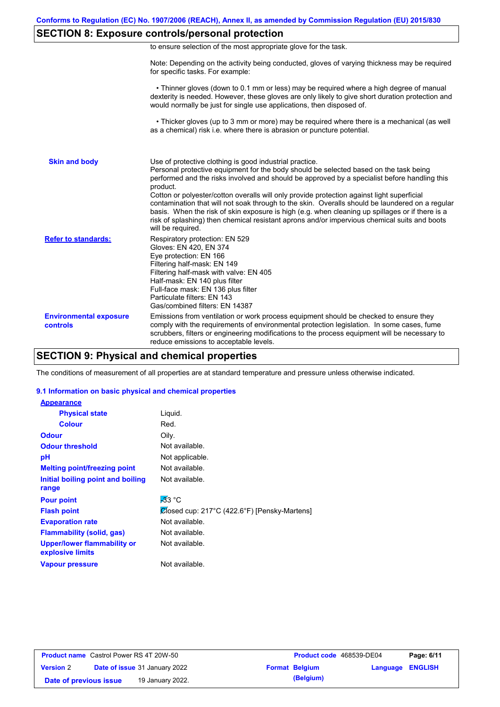# **SECTION 8: Exposure controls/personal protection**

| to ensure selection of the most appropriate glove for the task. |  |  |  |  |
|-----------------------------------------------------------------|--|--|--|--|
|                                                                 |  |  |  |  |

Note: Depending on the activity being conducted, gloves of varying thickness may be required for specific tasks. For example:

 • Thinner gloves (down to 0.1 mm or less) may be required where a high degree of manual dexterity is needed. However, these gloves are only likely to give short duration protection and would normally be just for single use applications, then disposed of.

 • Thicker gloves (up to 3 mm or more) may be required where there is a mechanical (as well as a chemical) risk i.e. where there is abrasion or puncture potential.

| <b>Skin and body</b>                             | Use of protective clothing is good industrial practice.<br>Personal protective equipment for the body should be selected based on the task being<br>performed and the risks involved and should be approved by a specialist before handling this<br>product.<br>Cotton or polyester/cotton overalls will only provide protection against light superficial<br>contamination that will not soak through to the skin. Overalls should be laundered on a regular<br>basis. When the risk of skin exposure is high (e.g. when cleaning up spillages or if there is a<br>risk of splashing) then chemical resistant aprons and/or impervious chemical suits and boots<br>will be required. |
|--------------------------------------------------|---------------------------------------------------------------------------------------------------------------------------------------------------------------------------------------------------------------------------------------------------------------------------------------------------------------------------------------------------------------------------------------------------------------------------------------------------------------------------------------------------------------------------------------------------------------------------------------------------------------------------------------------------------------------------------------|
| <b>Refer to standards:</b>                       | Respiratory protection: EN 529<br>Gloves: EN 420, EN 374<br>Eye protection: EN 166<br>Filtering half-mask: EN 149<br>Filtering half-mask with valve: EN 405<br>Half-mask: EN 140 plus filter<br>Full-face mask: EN 136 plus filter<br>Particulate filters: EN 143<br>Gas/combined filters: EN 14387                                                                                                                                                                                                                                                                                                                                                                                   |
| <b>Environmental exposure</b><br><b>controls</b> | Emissions from ventilation or work process equipment should be checked to ensure they<br>comply with the requirements of environmental protection legislation. In some cases, fume<br>scrubbers, filters or engineering modifications to the process equipment will be necessary to<br>reduce emissions to acceptable levels.                                                                                                                                                                                                                                                                                                                                                         |

## **SECTION 9: Physical and chemical properties**

The conditions of measurement of all properties are at standard temperature and pressure unless otherwise indicated.

### **9.1 Information on basic physical and chemical properties**

| <b>Appearance</b>                               |                                              |
|-------------------------------------------------|----------------------------------------------|
| <b>Physical state</b>                           | Liquid.                                      |
| <b>Colour</b>                                   | Red.                                         |
| <b>Odour</b>                                    | Oily.                                        |
| <b>Odour threshold</b>                          | Not available.                               |
| рH                                              | Not applicable.                              |
| <b>Melting point/freezing point</b>             | Not available.                               |
| <b>Initial boiling point and boiling</b>        | Not available.                               |
| range                                           |                                              |
| <b>Pour point</b>                               | $-33$ °C                                     |
| <b>Flash point</b>                              | Closed cup: 217°C (422.6°F) [Pensky-Martens] |
| <b>Evaporation rate</b>                         | Not available.                               |
| <b>Flammability (solid, gas)</b>                | Not available.                               |
| Upper/lower flammability or<br>explosive limits | Not available.                               |
| <b>Vapour pressure</b>                          | Not available.                               |

| <b>Product name</b> Castrol Power RS 4T 20W-50 |                                      | <b>Product code</b> 468539-DE04 |                  | Page: 6/11 |
|------------------------------------------------|--------------------------------------|---------------------------------|------------------|------------|
| <b>Version 2</b>                               | <b>Date of issue 31 January 2022</b> | <b>Format Belgium</b>           | Language ENGLISH |            |
| Date of previous issue                         | 19 January 2022.                     | (Belgium)                       |                  |            |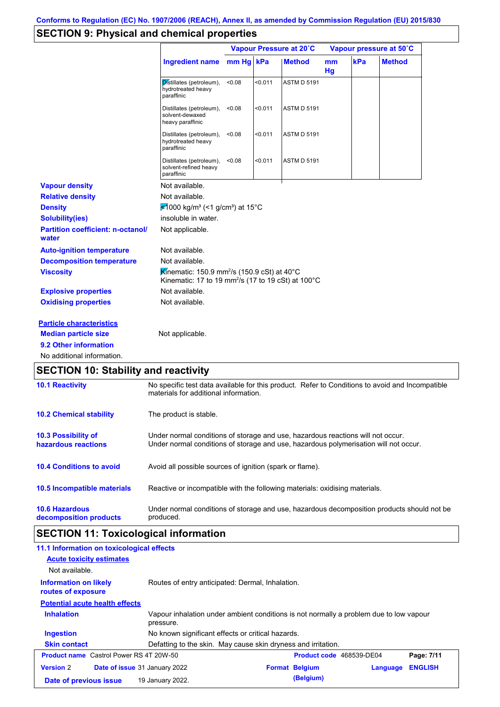# **SECTION 9: Physical and chemical properties**

|                                                   |                                                                                                                                          | Vapour Pressure at 20°C |         |                    |          | Vapour pressure at 50°C |               |
|---------------------------------------------------|------------------------------------------------------------------------------------------------------------------------------------------|-------------------------|---------|--------------------|----------|-------------------------|---------------|
|                                                   | <b>Ingredient name</b>                                                                                                                   | $mm Hg$ kPa             |         | <b>Method</b>      | mm<br>Hg | kPa                     | <b>Method</b> |
|                                                   | Distillates (petroleum),<br>hydrotreated heavy<br>paraffinic                                                                             | < 0.08                  | < 0.011 | <b>ASTM D 5191</b> |          |                         |               |
|                                                   | Distillates (petroleum),<br>solvent-dewaxed<br>heavy paraffinic                                                                          | < 0.08                  | < 0.011 | <b>ASTM D 5191</b> |          |                         |               |
|                                                   | Distillates (petroleum),<br>hydrotreated heavy<br>paraffinic                                                                             | < 0.08                  | < 0.011 | <b>ASTM D 5191</b> |          |                         |               |
|                                                   | Distillates (petroleum),<br>solvent-refined heavy<br>paraffinic                                                                          | < 0.08                  | < 0.011 | <b>ASTM D 5191</b> |          |                         |               |
| <b>Vapour density</b>                             | Not available.                                                                                                                           |                         |         |                    |          |                         |               |
| <b>Relative density</b>                           | Not available.                                                                                                                           |                         |         |                    |          |                         |               |
| <b>Density</b>                                    | ₹1000 kg/m <sup>3</sup> (<1 g/cm <sup>3</sup> ) at 15°C                                                                                  |                         |         |                    |          |                         |               |
| <b>Solubility(ies)</b>                            | insoluble in water.                                                                                                                      |                         |         |                    |          |                         |               |
| <b>Partition coefficient: n-octanol/</b><br>water | Not applicable.                                                                                                                          |                         |         |                    |          |                         |               |
| <b>Auto-ignition temperature</b>                  | Not available.                                                                                                                           |                         |         |                    |          |                         |               |
| <b>Decomposition temperature</b>                  | Not available.                                                                                                                           |                         |         |                    |          |                         |               |
| <b>Viscosity</b>                                  | Kinematic: 150.9 mm <sup>2</sup> /s (150.9 cSt) at 40°C<br>Kinematic: 17 to 19 mm <sup>2</sup> /s (17 to 19 cSt) at 100°C                |                         |         |                    |          |                         |               |
| <b>Explosive properties</b>                       | Not available.                                                                                                                           |                         |         |                    |          |                         |               |
| <b>Oxidising properties</b>                       | Not available.                                                                                                                           |                         |         |                    |          |                         |               |
| <b>Particle characteristics</b>                   |                                                                                                                                          |                         |         |                    |          |                         |               |
| <b>Median particle size</b>                       | Not applicable.                                                                                                                          |                         |         |                    |          |                         |               |
| 9.2 Other information                             |                                                                                                                                          |                         |         |                    |          |                         |               |
| No additional information.                        |                                                                                                                                          |                         |         |                    |          |                         |               |
| <b>SECTION 10: Stability and reactivity</b>       |                                                                                                                                          |                         |         |                    |          |                         |               |
| <b>10.1 Reactivity</b>                            | No specific test data available for this product. Refer to Conditions to avoid and Incompatible<br>materials for additional information. |                         |         |                    |          |                         |               |
| <b>10.2 Chemical stability</b>                    | The product is stable.                                                                                                                   |                         |         |                    |          |                         |               |
|                                                   |                                                                                                                                          |                         |         |                    |          |                         |               |

**10.3 Possibility of hazardous reactions** Under normal conditions of storage and use, hazardous reactions will not occur. Under normal conditions of storage and use, hazardous polymerisation will not occur.

**10.4 Conditions to avoid** Avoid all possible sources of ignition (spark or flame).

**10.5 Incompatible materials** Reactive or incompatible with the following materials: oxidising materials.

| <b>10.6 Hazardous</b>  | Under normal conditions of storage and use, hazardous decomposition products should not be |
|------------------------|--------------------------------------------------------------------------------------------|
| decomposition products | produced.                                                                                  |

# **SECTION 11: Toxicological information**

| 11.1 Information on toxicological effects                |                                                                                                     |                          |          |                |
|----------------------------------------------------------|-----------------------------------------------------------------------------------------------------|--------------------------|----------|----------------|
| <b>Acute toxicity estimates</b>                          |                                                                                                     |                          |          |                |
| Not available.                                           |                                                                                                     |                          |          |                |
| <b>Information on likely</b><br>routes of exposure       | Routes of entry anticipated: Dermal, Inhalation.                                                    |                          |          |                |
| <b>Potential acute health effects</b>                    |                                                                                                     |                          |          |                |
| <b>Inhalation</b>                                        | Vapour inhalation under ambient conditions is not normally a problem due to low vapour<br>pressure. |                          |          |                |
| <b>Ingestion</b>                                         | No known significant effects or critical hazards.                                                   |                          |          |                |
| <b>Skin contact</b>                                      | Defatting to the skin. May cause skin dryness and irritation.                                       |                          |          |                |
| <b>Product name</b> Castrol Power RS 4T 20W-50           |                                                                                                     | Product code 468539-DE04 |          | Page: 7/11     |
| <b>Version 2</b><br><b>Date of issue</b> 31 January 2022 |                                                                                                     | <b>Format Belgium</b>    | Language | <b>ENGLISH</b> |
| Date of previous issue                                   | 19 January 2022.                                                                                    | (Belgium)                |          |                |
|                                                          |                                                                                                     |                          |          |                |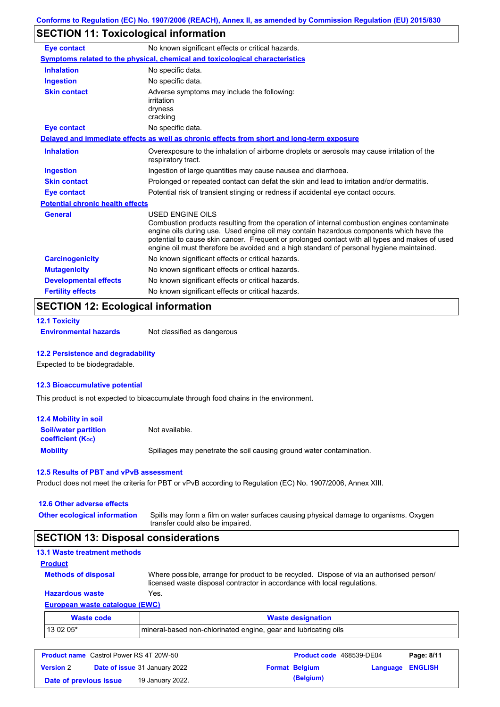# **SECTION 11: Toxicological information**

| <b>Eye contact</b>                      | No known significant effects or critical hazards.                                                                                                                                                                                                                                                                                                                                                               |
|-----------------------------------------|-----------------------------------------------------------------------------------------------------------------------------------------------------------------------------------------------------------------------------------------------------------------------------------------------------------------------------------------------------------------------------------------------------------------|
|                                         | Symptoms related to the physical, chemical and toxicological characteristics                                                                                                                                                                                                                                                                                                                                    |
| <b>Inhalation</b>                       | No specific data.                                                                                                                                                                                                                                                                                                                                                                                               |
| <b>Ingestion</b>                        | No specific data.                                                                                                                                                                                                                                                                                                                                                                                               |
| <b>Skin contact</b>                     | Adverse symptoms may include the following:<br>irritation<br>dryness<br>cracking                                                                                                                                                                                                                                                                                                                                |
| <b>Eye contact</b>                      | No specific data.                                                                                                                                                                                                                                                                                                                                                                                               |
|                                         | Delayed and immediate effects as well as chronic effects from short and long-term exposure                                                                                                                                                                                                                                                                                                                      |
| <b>Inhalation</b>                       | Overexposure to the inhalation of airborne droplets or aerosols may cause irritation of the<br>respiratory tract.                                                                                                                                                                                                                                                                                               |
| <b>Ingestion</b>                        | Ingestion of large quantities may cause nausea and diarrhoea.                                                                                                                                                                                                                                                                                                                                                   |
| <b>Skin contact</b>                     | Prolonged or repeated contact can defat the skin and lead to irritation and/or dermatitis.                                                                                                                                                                                                                                                                                                                      |
| <b>Eye contact</b>                      | Potential risk of transient stinging or redness if accidental eye contact occurs.                                                                                                                                                                                                                                                                                                                               |
| <b>Potential chronic health effects</b> |                                                                                                                                                                                                                                                                                                                                                                                                                 |
| General                                 | <b>USED ENGINE OILS</b><br>Combustion products resulting from the operation of internal combustion engines contaminate<br>engine oils during use. Used engine oil may contain hazardous components which have the<br>potential to cause skin cancer. Frequent or prolonged contact with all types and makes of used<br>engine oil must therefore be avoided and a high standard of personal hygiene maintained. |
| <b>Carcinogenicity</b>                  | No known significant effects or critical hazards.                                                                                                                                                                                                                                                                                                                                                               |
| <b>Mutagenicity</b>                     | No known significant effects or critical hazards.                                                                                                                                                                                                                                                                                                                                                               |
| <b>Developmental effects</b>            | No known significant effects or critical hazards.                                                                                                                                                                                                                                                                                                                                                               |
| <b>Fertility effects</b>                | No known significant effects or critical hazards.                                                                                                                                                                                                                                                                                                                                                               |

# **SECTION 12: Ecological information**

**12.1 Toxicity**

**Environmental hazards** Not classified as dangerous

### **12.2 Persistence and degradability**

Expected to be biodegradable.

### **12.3 Bioaccumulative potential**

This product is not expected to bioaccumulate through food chains in the environment.

| <b>12.4 Mobility in soil</b>                            |                                                                      |
|---------------------------------------------------------|----------------------------------------------------------------------|
| <b>Soil/water partition</b><br><b>coefficient (Koc)</b> | Not available.                                                       |
| <b>Mobility</b>                                         | Spillages may penetrate the soil causing ground water contamination. |

### **12.5 Results of PBT and vPvB assessment**

Product does not meet the criteria for PBT or vPvB according to Regulation (EC) No. 1907/2006, Annex XIII.

### **12.6 Other adverse effects Other ecological information**

Spills may form a film on water surfaces causing physical damage to organisms. Oxygen transfer could also be impaired.

# **SECTION 13: Disposal considerations**

| <b>13.1 Waste treatment methods</b> |                                                                                                                                                                      |
|-------------------------------------|----------------------------------------------------------------------------------------------------------------------------------------------------------------------|
| <b>Product</b>                      |                                                                                                                                                                      |
| <b>Methods of disposal</b>          | Where possible, arrange for product to be recycled. Dispose of via an authorised person/<br>licensed waste disposal contractor in accordance with local regulations. |
| <b>Hazardous waste</b>              | Yes.                                                                                                                                                                 |
| European waste catalogue (EWC)      |                                                                                                                                                                      |
| <b>Waste code</b>                   | <b>Waste designation</b>                                                                                                                                             |

| <b><i>viaste coue</i></b> | <b>Waste designation</b>                                        |
|---------------------------|-----------------------------------------------------------------|
| 13 02 05*                 | mineral-based non-chlorinated engine, gear and lubricating oils |
|                           |                                                                 |

| <b>Product name</b> Castrol Power RS 4T 20W-50 |  |                                      | Product code 468539-DE04 | Page: 8/11            |                         |  |
|------------------------------------------------|--|--------------------------------------|--------------------------|-----------------------|-------------------------|--|
| <b>Version 2</b>                               |  | <b>Date of issue 31 January 2022</b> |                          | <b>Format Belgium</b> | <b>Language ENGLISH</b> |  |
| Date of previous issue                         |  | 19 January 2022.                     |                          | (Belgium)             |                         |  |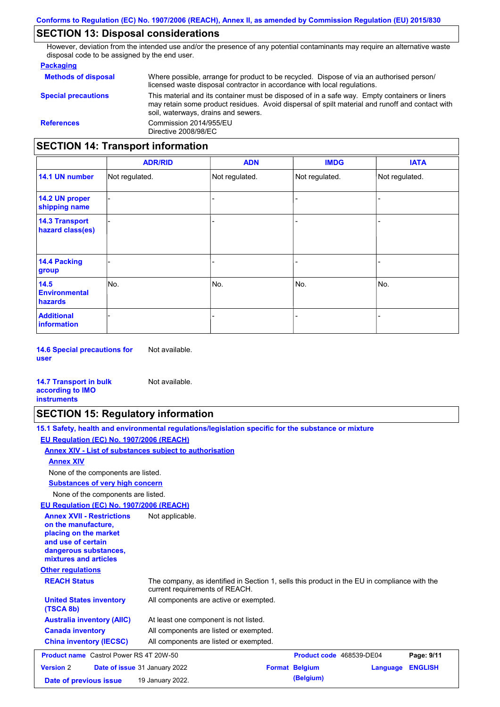# **SECTION 13: Disposal considerations**

However, deviation from the intended use and/or the presence of any potential contaminants may require an alternative waste disposal code to be assigned by the end user.

### **Packaging**

| <b>SECTION 14: Transport information</b> |                                                                                                                                                                                                                                         |  |  |  |
|------------------------------------------|-----------------------------------------------------------------------------------------------------------------------------------------------------------------------------------------------------------------------------------------|--|--|--|
| <b>References</b>                        | Commission 2014/955/EU<br>Directive 2008/98/EC                                                                                                                                                                                          |  |  |  |
| <b>Special precautions</b>               | This material and its container must be disposed of in a safe way. Empty containers or liners<br>may retain some product residues. Avoid dispersal of spilt material and runoff and contact with<br>soil, waterways, drains and sewers. |  |  |  |
| <b>Methods of disposal</b>               | Where possible, arrange for product to be recycled. Dispose of via an authorised person/<br>licensed waste disposal contractor in accordance with local regulations.                                                                    |  |  |  |

|                                           | <b>ADR/RID</b> | <b>ADN</b>     | <b>IMDG</b>    | <b>IATA</b>    |
|-------------------------------------------|----------------|----------------|----------------|----------------|
| 14.1 UN number                            | Not regulated. | Not regulated. | Not regulated. | Not regulated. |
| 14.2 UN proper<br>shipping name           |                |                |                |                |
| <b>14.3 Transport</b><br>hazard class(es) |                |                |                |                |
| 14.4 Packing<br>group                     |                |                | $\blacksquare$ |                |
| 14.5<br><b>Environmental</b><br>hazards   | No.            | No.            | No.            | No.            |
| <b>Additional</b><br><b>information</b>   |                |                |                |                |

**14.6 Special precautions for user** Not available.

### **14.7 Transport in bulk according to IMO instruments**

# **SECTION 15: Regulatory information**

Not available.

| 15.1 Safety, health and environmental regulations/legislation specific for the substance or mixture |  |
|-----------------------------------------------------------------------------------------------------|--|
| EU Regulation (EC) No. 1907/2006 (REACH)                                                            |  |
| Annex XIV - List of substances subject to authorisation                                             |  |

### **Annex XIV**

None of the components are listed.

**Substances of very high concern**

None of the components are listed.

### **EU Regulation (EC) No. 1907/2006 (REACH)**

| EU Requiation (EC) No. 1907/2006 (REACH)                                                                                                                                             |                                                                                                                                |
|--------------------------------------------------------------------------------------------------------------------------------------------------------------------------------------|--------------------------------------------------------------------------------------------------------------------------------|
| <b>Annex XVII - Restrictions</b><br>on the manufacture.<br>placing on the market<br>and use of certain<br>dangerous substances,<br>mixtures and articles<br><b>Other regulations</b> | Not applicable.                                                                                                                |
|                                                                                                                                                                                      |                                                                                                                                |
| <b>REACH Status</b>                                                                                                                                                                  | The company, as identified in Section 1, sells this product in the EU in compliance with the<br>current requirements of REACH. |
| <b>United States inventory</b><br>(TSCA 8b)                                                                                                                                          | All components are active or exempted.                                                                                         |
| <b>Australia inventory (AIIC)</b>                                                                                                                                                    | At least one component is not listed.                                                                                          |
| <b>Canada inventory</b>                                                                                                                                                              | All components are listed or exempted.                                                                                         |
| <b>China inventory (IECSC)</b>                                                                                                                                                       | All components are listed or exempted.                                                                                         |
| <b>Product name</b> Castrol Power RS 4T 20W-50                                                                                                                                       | Product code 468539-DE04<br>Page: 9/11                                                                                         |
| <b>Version 2</b>                                                                                                                                                                     | <b>Format Belgium</b><br><b>ENGLISH</b><br><b>Date of issue 31 January 2022</b><br>Language                                    |
| Date of previous issue                                                                                                                                                               | (Belgium)<br>19 January 2022.                                                                                                  |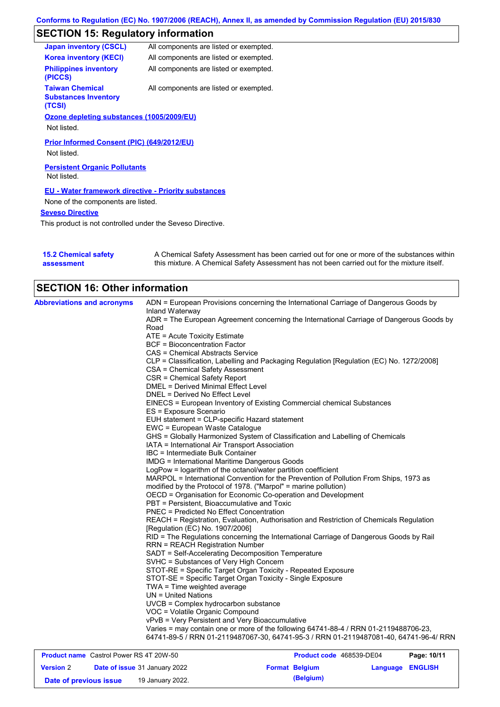# **SECTION 15: Regulatory information**

| <b>Japan inventory (CSCL)</b>                                   | All components are listed or exempted. |
|-----------------------------------------------------------------|----------------------------------------|
| <b>Korea inventory (KECI)</b>                                   | All components are listed or exempted. |
| <b>Philippines inventory</b><br>(PICCS)                         | All components are listed or exempted. |
| <b>Taiwan Chemical</b><br><b>Substances Inventory</b><br>(TCSI) | All components are listed or exempted. |
| Ozone depleting substances (1005/2009/EU)                       |                                        |
| Not listed.                                                     |                                        |
| Prior Informed Consent (PIC) (649/2012/EU)<br>Not listed.       |                                        |
| <b>Persistent Organic Pollutants</b><br>Not listed.             |                                        |
| <b>EU - Water framework directive - Priority substances</b>     |                                        |
| None of the components are listed.                              |                                        |
| <b>Seveso Directive</b>                                         |                                        |

This product is not controlled under the Seveso Directive.

| <b>15.2 Chemical safety</b> | A Chemical Safety Assessment has been carried out for one or more of the substances within  |
|-----------------------------|---------------------------------------------------------------------------------------------|
| assessment                  | this mixture. A Chemical Safety Assessment has not been carried out for the mixture itself. |

| <b>Abbreviations and acronyms</b> | ADN = European Provisions concerning the International Carriage of Dangerous Goods by<br><b>Inland Waterway</b><br>ADR = The European Agreement concerning the International Carriage of Dangerous Goods by<br>Road<br>ATE = Acute Toxicity Estimate<br><b>BCF</b> = Bioconcentration Factor<br>CAS = Chemical Abstracts Service<br>CLP = Classification, Labelling and Packaging Regulation [Regulation (EC) No. 1272/2008]<br>CSA = Chemical Safety Assessment<br><b>CSR = Chemical Safety Report</b><br>DMEL = Derived Minimal Effect Level<br>DNEL = Derived No Effect Level<br>EINECS = European Inventory of Existing Commercial chemical Substances<br>ES = Exposure Scenario<br>EUH statement = CLP-specific Hazard statement<br>EWC = European Waste Catalogue<br>GHS = Globally Harmonized System of Classification and Labelling of Chemicals<br>IATA = International Air Transport Association |
|-----------------------------------|------------------------------------------------------------------------------------------------------------------------------------------------------------------------------------------------------------------------------------------------------------------------------------------------------------------------------------------------------------------------------------------------------------------------------------------------------------------------------------------------------------------------------------------------------------------------------------------------------------------------------------------------------------------------------------------------------------------------------------------------------------------------------------------------------------------------------------------------------------------------------------------------------------|
|                                   |                                                                                                                                                                                                                                                                                                                                                                                                                                                                                                                                                                                                                                                                                                                                                                                                                                                                                                            |
|                                   |                                                                                                                                                                                                                                                                                                                                                                                                                                                                                                                                                                                                                                                                                                                                                                                                                                                                                                            |
|                                   |                                                                                                                                                                                                                                                                                                                                                                                                                                                                                                                                                                                                                                                                                                                                                                                                                                                                                                            |
|                                   |                                                                                                                                                                                                                                                                                                                                                                                                                                                                                                                                                                                                                                                                                                                                                                                                                                                                                                            |
|                                   |                                                                                                                                                                                                                                                                                                                                                                                                                                                                                                                                                                                                                                                                                                                                                                                                                                                                                                            |
|                                   |                                                                                                                                                                                                                                                                                                                                                                                                                                                                                                                                                                                                                                                                                                                                                                                                                                                                                                            |
|                                   |                                                                                                                                                                                                                                                                                                                                                                                                                                                                                                                                                                                                                                                                                                                                                                                                                                                                                                            |
|                                   |                                                                                                                                                                                                                                                                                                                                                                                                                                                                                                                                                                                                                                                                                                                                                                                                                                                                                                            |
|                                   |                                                                                                                                                                                                                                                                                                                                                                                                                                                                                                                                                                                                                                                                                                                                                                                                                                                                                                            |
|                                   |                                                                                                                                                                                                                                                                                                                                                                                                                                                                                                                                                                                                                                                                                                                                                                                                                                                                                                            |
|                                   |                                                                                                                                                                                                                                                                                                                                                                                                                                                                                                                                                                                                                                                                                                                                                                                                                                                                                                            |
|                                   |                                                                                                                                                                                                                                                                                                                                                                                                                                                                                                                                                                                                                                                                                                                                                                                                                                                                                                            |
|                                   |                                                                                                                                                                                                                                                                                                                                                                                                                                                                                                                                                                                                                                                                                                                                                                                                                                                                                                            |
|                                   |                                                                                                                                                                                                                                                                                                                                                                                                                                                                                                                                                                                                                                                                                                                                                                                                                                                                                                            |
|                                   |                                                                                                                                                                                                                                                                                                                                                                                                                                                                                                                                                                                                                                                                                                                                                                                                                                                                                                            |
|                                   |                                                                                                                                                                                                                                                                                                                                                                                                                                                                                                                                                                                                                                                                                                                                                                                                                                                                                                            |
|                                   | IBC = Intermediate Bulk Container                                                                                                                                                                                                                                                                                                                                                                                                                                                                                                                                                                                                                                                                                                                                                                                                                                                                          |
|                                   | <b>IMDG</b> = International Maritime Dangerous Goods<br>LogPow = logarithm of the octanol/water partition coefficient                                                                                                                                                                                                                                                                                                                                                                                                                                                                                                                                                                                                                                                                                                                                                                                      |
|                                   | MARPOL = International Convention for the Prevention of Pollution From Ships, 1973 as                                                                                                                                                                                                                                                                                                                                                                                                                                                                                                                                                                                                                                                                                                                                                                                                                      |
|                                   | modified by the Protocol of 1978. ("Marpol" = marine pollution)                                                                                                                                                                                                                                                                                                                                                                                                                                                                                                                                                                                                                                                                                                                                                                                                                                            |
|                                   | OECD = Organisation for Economic Co-operation and Development                                                                                                                                                                                                                                                                                                                                                                                                                                                                                                                                                                                                                                                                                                                                                                                                                                              |
|                                   | PBT = Persistent, Bioaccumulative and Toxic                                                                                                                                                                                                                                                                                                                                                                                                                                                                                                                                                                                                                                                                                                                                                                                                                                                                |
|                                   | PNEC = Predicted No Effect Concentration                                                                                                                                                                                                                                                                                                                                                                                                                                                                                                                                                                                                                                                                                                                                                                                                                                                                   |
|                                   | REACH = Registration, Evaluation, Authorisation and Restriction of Chemicals Regulation                                                                                                                                                                                                                                                                                                                                                                                                                                                                                                                                                                                                                                                                                                                                                                                                                    |
|                                   | [Regulation (EC) No. 1907/2006]                                                                                                                                                                                                                                                                                                                                                                                                                                                                                                                                                                                                                                                                                                                                                                                                                                                                            |
|                                   | RID = The Regulations concerning the International Carriage of Dangerous Goods by Rail<br><b>RRN = REACH Registration Number</b>                                                                                                                                                                                                                                                                                                                                                                                                                                                                                                                                                                                                                                                                                                                                                                           |
|                                   | SADT = Self-Accelerating Decomposition Temperature                                                                                                                                                                                                                                                                                                                                                                                                                                                                                                                                                                                                                                                                                                                                                                                                                                                         |
|                                   | SVHC = Substances of Very High Concern                                                                                                                                                                                                                                                                                                                                                                                                                                                                                                                                                                                                                                                                                                                                                                                                                                                                     |
|                                   | STOT-RE = Specific Target Organ Toxicity - Repeated Exposure                                                                                                                                                                                                                                                                                                                                                                                                                                                                                                                                                                                                                                                                                                                                                                                                                                               |
|                                   | STOT-SE = Specific Target Organ Toxicity - Single Exposure                                                                                                                                                                                                                                                                                                                                                                                                                                                                                                                                                                                                                                                                                                                                                                                                                                                 |
|                                   | $TWA = Time weighted average$                                                                                                                                                                                                                                                                                                                                                                                                                                                                                                                                                                                                                                                                                                                                                                                                                                                                              |
|                                   | $UN = United Nations$                                                                                                                                                                                                                                                                                                                                                                                                                                                                                                                                                                                                                                                                                                                                                                                                                                                                                      |
|                                   | UVCB = Complex hydrocarbon substance                                                                                                                                                                                                                                                                                                                                                                                                                                                                                                                                                                                                                                                                                                                                                                                                                                                                       |
|                                   | VOC = Volatile Organic Compound                                                                                                                                                                                                                                                                                                                                                                                                                                                                                                                                                                                                                                                                                                                                                                                                                                                                            |
|                                   | vPvB = Very Persistent and Very Bioaccumulative                                                                                                                                                                                                                                                                                                                                                                                                                                                                                                                                                                                                                                                                                                                                                                                                                                                            |
|                                   | Varies = may contain one or more of the following 64741-88-4 / RRN 01-2119488706-23,<br>64741-89-5 / RRN 01-2119487067-30, 64741-95-3 / RRN 01-2119487081-40, 64741-96-4/ RRN                                                                                                                                                                                                                                                                                                                                                                                                                                                                                                                                                                                                                                                                                                                              |

| <b>Product name</b> Castrol Power RS 4T 20W-50 |  |                                      | <b>Product code</b> 468539-DE04 |                       | Page: 10/11      |  |
|------------------------------------------------|--|--------------------------------------|---------------------------------|-----------------------|------------------|--|
| <b>Version</b> 2                               |  | <b>Date of issue 31 January 2022</b> |                                 | <b>Format Belgium</b> | Language ENGLISH |  |
| Date of previous issue                         |  | 19 January 2022.                     |                                 | (Belgium)             |                  |  |